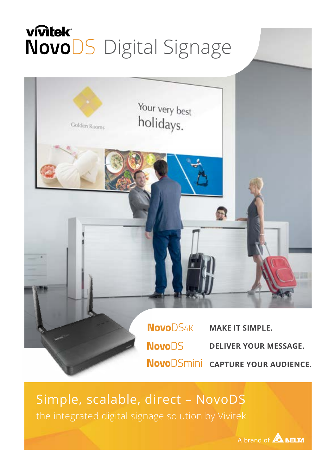# vivitek® NovoDS Digital Signage



**Novo**DSmini CAPTURE YOUR AUDIENCE.

## Simple, scalable, direct – NovoDS

the integrated digital signage solution by Vivitek

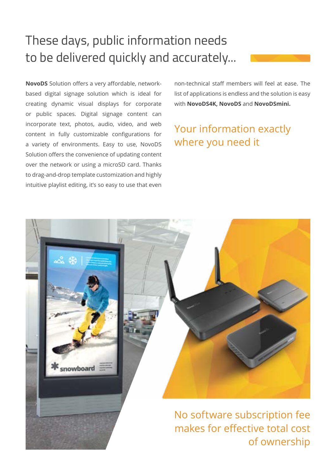# These days, public information needs to be delivered quickly and accurately...

**NovoDS** Solution offers a very affordable, networkbased digital signage solution which is ideal for creating dynamic visual displays for corporate or public spaces. Digital signage content can incorporate text, photos, audio, video, and web content in fully customizable configurations for a variety of environments. Easy to use, NovoDS Solution offers the convenience of updating content over the network or using a microSD card. Thanks to drag-and-drop template customization and highly intuitive playlist editing, it's so easy to use that even

non-technical staff members will feel at ease. The list of applications is endless and the solution is easy with **NovoDS4K, NovoDS** and **NovoDSmini.**

#### Your information exactly where you need it

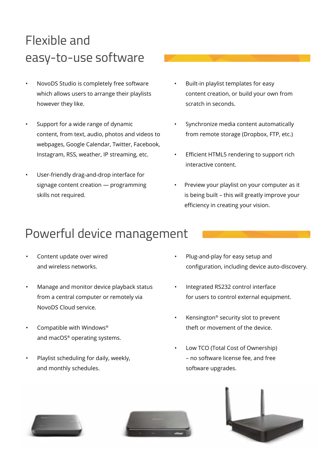# Flexible and easy-to-use software

- NovoDS Studio is completely free software which allows users to arrange their playlists however they like.
- Support for a wide range of dynamic content, from text, audio, photos and videos to webpages, Google Calendar, Twitter, Facebook, Instagram, RSS, weather, IP streaming, etc.
- User-friendly drag-and-drop interface for signage content creation — programming skills not required.
- Built-in playlist templates for easy content creation, or build your own from scratch in seconds.
- Synchronize media content automatically from remote storage (Dropbox, FTP, etc.)
- Efficient HTML5 rendering to support rich interactive content.
- Preview your playlist on your computer as it is being built – this will greatly improve your efficiency in creating your vision.

### Powerful device management

- Content update over wired and wireless networks.
- Manage and monitor device playback status from a central computer or remotely via NovoDS Cloud service.
- Compatible with Windows® and macOS® operating systems.
- Playlist scheduling for daily, weekly, and monthly schedules.
- Plug-and-play for easy setup and configuration, including device auto-discovery.
- Integrated RS232 control interface for users to control external equipment.
- Kensington® security slot to prevent theft or movement of the device.
- Low TCO (Total Cost of Ownership) – no software license fee, and free software upgrades.





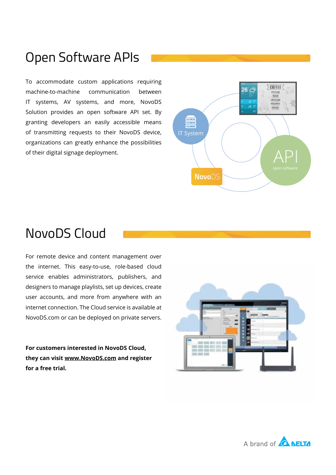# Open Software APIs

To accommodate custom applications requiring machine-to-machine communication between IT systems, AV systems, and more, NovoDS Solution provides an open software API set. By granting developers an easily accessible means of transmitting requests to their NovoDS device, organizations can greatly enhance the possibilities of their digital signage deployment.



#### NovoDS Cloud

For remote device and content management over the internet. This easy-to-use, role-based cloud service enables administrators, publishers, and designers to manage playlists, set up devices, create user accounts, and more from anywhere with an internet connection. The Cloud service is available at NovoDS.com or can be deployed on private servers.

**For customers interested in NovoDS Cloud, they can visit www.NovoDS.com and register for a free trial.**



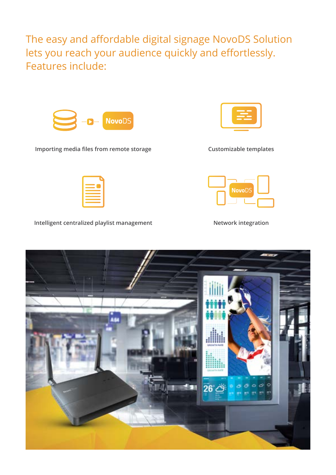The easy and affordable digital signage NovoDS Solution lets you reach your audience quickly and effortlessly. Features include:



**Importing media files from remote storage**



**Customizable templates**



**Intelligent centralized playlist management Network integration**